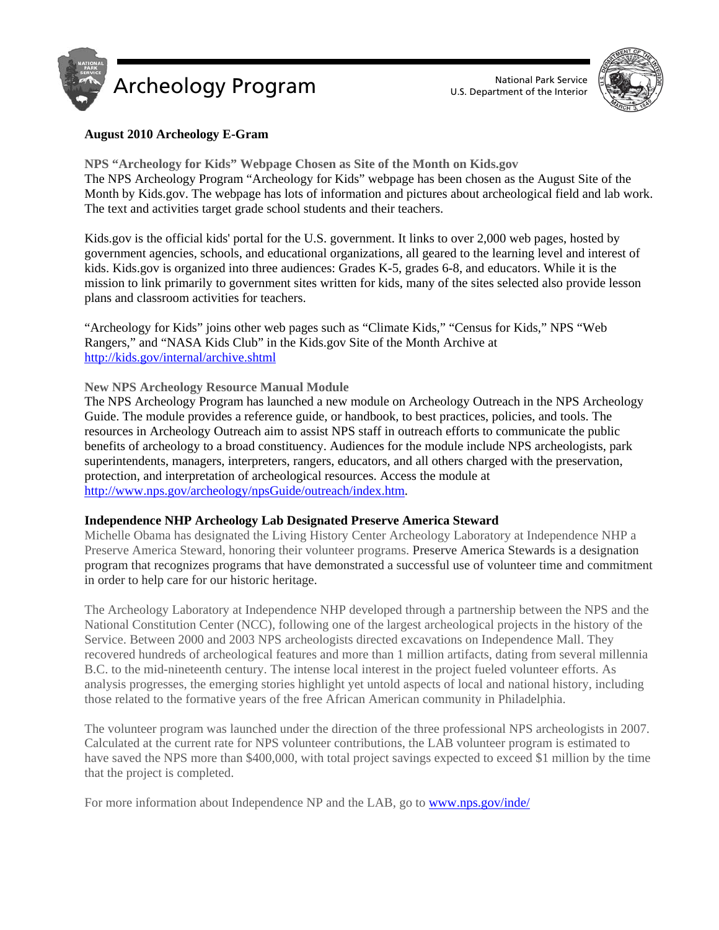



# **August 2010 Archeology E-Gram**

**NPS "Archeology for Kids" Webpage Chosen as Site of the Month on Kids.gov**  The NPS Archeology Program "Archeology for Kids" webpage has been chosen as the August Site of the Month by Kids.gov. The webpage has lots of information and pictures about archeological field and lab work. The text and activities target grade school students and their teachers.

Kids.gov is the official kids' portal for the U.S. government. It links to over 2,000 web pages, hosted by government agencies, schools, and educational organizations, all geared to the learning level and interest of kids. Kids.gov is organized into three audiences: Grades K-5, grades 6-8, and educators. While it is the mission to link primarily to government sites written for kids, many of the sites selected also provide lesson plans and classroom activities for teachers.

"Archeology for Kids" joins other web pages such as "Climate Kids," "Census for Kids," NPS "Web Rangers," and "NASA Kids Club" in the Kids.gov Site of the Month Archive at http://kids.gov/internal/archive.shtml

## **New NPS Archeology Resource Manual Module**

The NPS Archeology Program has launched a new module on Archeology Outreach in the NPS Archeology Guide. The module provides a reference guide, or handbook, to best practices, policies, and tools. The resources in Archeology Outreach aim to assist NPS staff in outreach efforts to communicate the public benefits of archeology to a broad constituency. Audiences for the module include NPS archeologists, park superintendents, managers, interpreters, rangers, educators, and all others charged with the preservation, protection, and interpretation of archeological resources. Access the module at http://www.nps.gov/archeology/npsGuide/outreach/index.htm.

#### **Independence NHP Archeology Lab Designated Preserve America Steward**

Michelle Obama has designated the Living History Center Archeology Laboratory at Independence NHP a Preserve America Steward, honoring their volunteer programs. Preserve America Stewards is a designation program that recognizes programs that have demonstrated a successful use of volunteer time and commitment in order to help care for our historic heritage.

The Archeology Laboratory at Independence NHP developed through a partnership between the NPS and the National Constitution Center (NCC), following one of the largest archeological projects in the history of the Service. Between 2000 and 2003 NPS archeologists directed excavations on Independence Mall. They recovered hundreds of archeological features and more than 1 million artifacts, dating from several millennia B.C. to the mid-nineteenth century. The intense local interest in the project fueled volunteer efforts. As analysis progresses, the emerging stories highlight yet untold aspects of local and national history, including those related to the formative years of the free African American community in Philadelphia.

The volunteer program was launched under the direction of the three professional NPS archeologists in 2007. Calculated at the current rate for NPS volunteer contributions, the LAB volunteer program is estimated to have saved the NPS more than \$400,000, with total project savings expected to exceed \$1 million by the time that the project is completed.

For more information about Independence NP and the LAB, go to www.nps.gov/inde/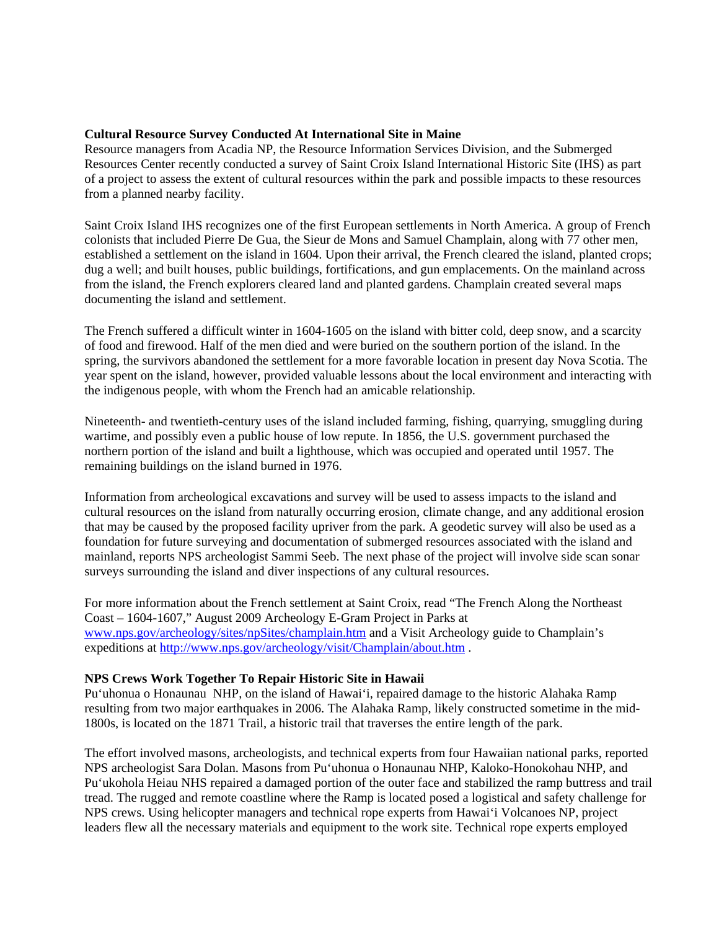#### **Cultural Resource Survey Conducted At International Site in Maine**

Resource managers from Acadia NP, the Resource Information Services Division, and the Submerged Resources Center recently conducted a survey of Saint Croix Island International Historic Site (IHS) as part of a project to assess the extent of cultural resources within the park and possible impacts to these resources from a planned nearby facility.

Saint Croix Island IHS recognizes one of the first European settlements in North America. A group of French colonists that included Pierre De Gua, the Sieur de Mons and Samuel Champlain, along with 77 other men, established a settlement on the island in 1604. Upon their arrival, the French cleared the island, planted crops; dug a well; and built houses, public buildings, fortifications, and gun emplacements. On the mainland across from the island, the French explorers cleared land and planted gardens. Champlain created several maps documenting the island and settlement.

The French suffered a difficult winter in 1604-1605 on the island with bitter cold, deep snow, and a scarcity of food and firewood. Half of the men died and were buried on the southern portion of the island. In the spring, the survivors abandoned the settlement for a more favorable location in present day Nova Scotia. The year spent on the island, however, provided valuable lessons about the local environment and interacting with the indigenous people, with whom the French had an amicable relationship.

Nineteenth- and twentieth-century uses of the island included farming, fishing, quarrying, smuggling during wartime, and possibly even a public house of low repute. In 1856, the U.S. government purchased the northern portion of the island and built a lighthouse, which was occupied and operated until 1957. The remaining buildings on the island burned in 1976.

Information from archeological excavations and survey will be used to assess impacts to the island and cultural resources on the island from naturally occurring erosion, climate change, and any additional erosion that may be caused by the proposed facility upriver from the park. A geodetic survey will also be used as a foundation for future surveying and documentation of submerged resources associated with the island and mainland, reports NPS archeologist Sammi Seeb. The next phase of the project will involve side scan sonar surveys surrounding the island and diver inspections of any cultural resources.

For more information about the French settlement at Saint Croix, read "The French Along the Northeast Coast – 1604-1607," August 2009 Archeology E-Gram Project in Parks at www.nps.gov/archeology/sites/npSites/champlain.htm and a Visit Archeology guide to Champlain's expeditions at http://www.nps.gov/archeology/visit/Champlain/about.htm .

## **NPS Crews Work Together To Repair Historic Site in Hawaii**

Pu'uhonua o Honaunau NHP, on the island of Hawai'i, repaired damage to the historic Alahaka Ramp resulting from two major earthquakes in 2006. The Alahaka Ramp, likely constructed sometime in the mid-1800s, is located on the 1871 Trail, a historic trail that traverses the entire length of the park.

The effort involved masons, archeologists, and technical experts from four Hawaiian national parks, reported NPS archeologist Sara Dolan. Masons from Pu'uhonua o Honaunau NHP, Kaloko-Honokohau NHP, and Pu'ukohola Heiau NHS repaired a damaged portion of the outer face and stabilized the ramp buttress and trail tread. The rugged and remote coastline where the Ramp is located posed a logistical and safety challenge for NPS crews. Using helicopter managers and technical rope experts from Hawai'i Volcanoes NP, project leaders flew all the necessary materials and equipment to the work site. Technical rope experts employed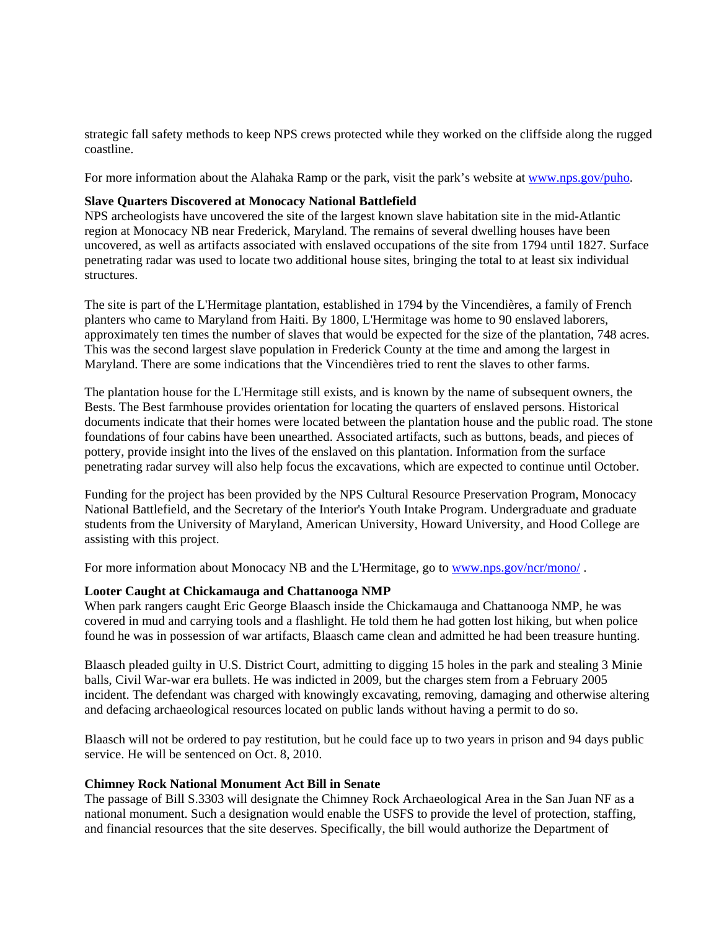strategic fall safety methods to keep NPS crews protected while they worked on the cliffside along the rugged coastline.

For more information about the Alahaka Ramp or the park, visit the park's website at www.nps.gov/puho.

## **Slave Quarters Discovered at Monocacy National Battlefield**

NPS archeologists have uncovered the site of the largest known slave habitation site in the mid-Atlantic region at Monocacy NB near Frederick, Maryland. The remains of several dwelling houses have been uncovered, as well as artifacts associated with enslaved occupations of the site from 1794 until 1827. Surface penetrating radar was used to locate two additional house sites, bringing the total to at least six individual structures.

The site is part of the L'Hermitage plantation, established in 1794 by the Vincendières, a family of French planters who came to Maryland from Haiti. By 1800, L'Hermitage was home to 90 enslaved laborers, approximately ten times the number of slaves that would be expected for the size of the plantation, 748 acres. This was the second largest slave population in Frederick County at the time and among the largest in Maryland. There are some indications that the Vincendières tried to rent the slaves to other farms.

The plantation house for the L'Hermitage still exists, and is known by the name of subsequent owners, the Bests. The Best farmhouse provides orientation for locating the quarters of enslaved persons. Historical documents indicate that their homes were located between the plantation house and the public road. The stone foundations of four cabins have been unearthed. Associated artifacts, such as buttons, beads, and pieces of pottery, provide insight into the lives of the enslaved on this plantation. Information from the surface penetrating radar survey will also help focus the excavations, which are expected to continue until October.

Funding for the project has been provided by the NPS Cultural Resource Preservation Program, Monocacy National Battlefield, and the Secretary of the Interior's Youth Intake Program. Undergraduate and graduate students from the University of Maryland, American University, Howard University, and Hood College are assisting with this project.

For more information about Monocacy NB and the L'Hermitage, go to www.nps.gov/ncr/mono/.

## **Looter Caught at Chickamauga and Chattanooga NMP**

When park rangers caught Eric George Blaasch inside the Chickamauga and Chattanooga NMP, he was covered in mud and carrying tools and a flashlight. He told them he had gotten lost hiking, but when police found he was in possession of war artifacts, Blaasch came clean and admitted he had been treasure hunting.

Blaasch pleaded guilty in U.S. District Court, admitting to digging 15 holes in the park and stealing 3 Minie balls, Civil War-war era bullets. He was indicted in 2009, but the charges stem from a February 2005 incident. The defendant was charged with knowingly excavating, removing, damaging and otherwise altering and defacing archaeological resources located on public lands without having a permit to do so.

Blaasch will not be ordered to pay restitution, but he could face up to two years in prison and 94 days public service. He will be sentenced on Oct. 8, 2010.

## **Chimney Rock National Monument Act Bill in Senate**

The passage of Bill S.3303 will designate the Chimney Rock Archaeological Area in the San Juan NF as a national monument. Such a designation would enable the USFS to provide the level of protection, staffing, and financial resources that the site deserves. Specifically, the bill would authorize the Department of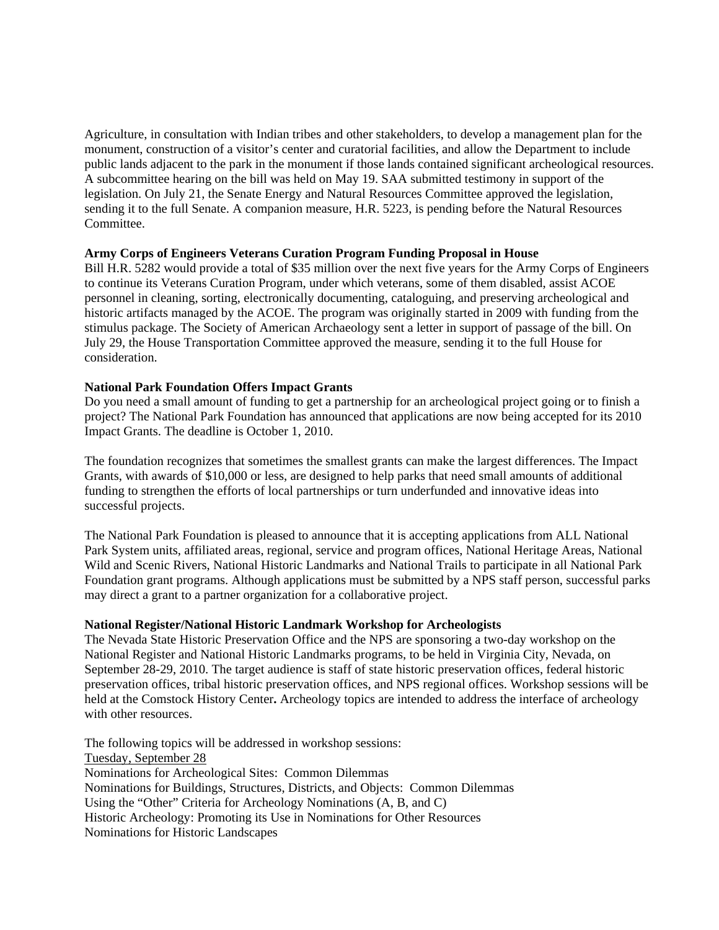Agriculture, in consultation with Indian tribes and other stakeholders, to develop a management plan for the monument, construction of a visitor's center and curatorial facilities, and allow the Department to include public lands adjacent to the park in the monument if those lands contained significant archeological resources. A subcommittee hearing on the bill was held on May 19. SAA submitted testimony in support of the legislation. On July 21, the Senate Energy and Natural Resources Committee approved the legislation, sending it to the full Senate. A companion measure, H.R. 5223, is pending before the Natural Resources Committee.

## **Army Corps of Engineers Veterans Curation Program Funding Proposal in House**

Bill H.R. 5282 would provide a total of \$35 million over the next five years for the Army Corps of Engineers to continue its Veterans Curation Program, under which veterans, some of them disabled, assist ACOE personnel in cleaning, sorting, electronically documenting, cataloguing, and preserving archeological and historic artifacts managed by the ACOE. The program was originally started in 2009 with funding from the stimulus package. The Society of American Archaeology sent a letter in support of passage of the bill. On July 29, the House Transportation Committee approved the measure, sending it to the full House for consideration.

#### **National Park Foundation Offers Impact Grants**

Do you need a small amount of funding to get a partnership for an archeological project going or to finish a project? The National Park Foundation has announced that applications are now being accepted for its 2010 Impact Grants. The deadline is October 1, 2010.

The foundation recognizes that sometimes the smallest grants can make the largest differences. The Impact Grants, with awards of \$10,000 or less, are designed to help parks that need small amounts of additional funding to strengthen the efforts of local partnerships or turn underfunded and innovative ideas into successful projects.

The National Park Foundation is pleased to announce that it is accepting applications from ALL National Park System units, affiliated areas, regional, service and program offices, National Heritage Areas, National Wild and Scenic Rivers, National Historic Landmarks and National Trails to participate in all National Park Foundation grant programs. Although applications must be submitted by a NPS staff person, successful parks may direct a grant to a partner organization for a collaborative project.

## **National Register/National Historic Landmark Workshop for Archeologists**

The Nevada State Historic Preservation Office and the NPS are sponsoring a two-day workshop on the National Register and National Historic Landmarks programs, to be held in Virginia City, Nevada, on September 28-29, 2010. The target audience is staff of state historic preservation offices, federal historic preservation offices, tribal historic preservation offices, and NPS regional offices. Workshop sessions will be held at the Comstock History Center**.** Archeology topics are intended to address the interface of archeology with other resources.

The following topics will be addressed in workshop sessions: Tuesday, September 28 Nominations for Archeological Sites: Common Dilemmas Nominations for Buildings, Structures, Districts, and Objects: Common Dilemmas Using the "Other" Criteria for Archeology Nominations (A, B, and C) Historic Archeology: Promoting its Use in Nominations for Other Resources Nominations for Historic Landscapes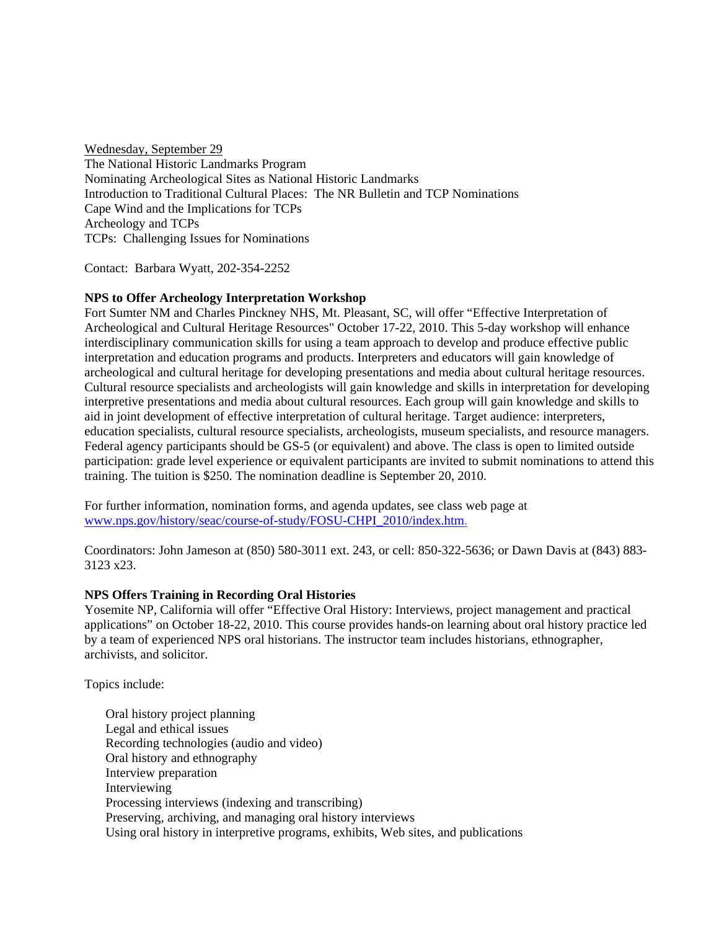Wednesday, September 29 The National Historic Landmarks Program Nominating Archeological Sites as National Historic Landmarks Introduction to Traditional Cultural Places: The NR Bulletin and TCP Nominations Cape Wind and the Implications for TCPs Archeology and TCPs TCPs: Challenging Issues for Nominations

Contact: Barbara Wyatt, 202-354-2252

# **NPS to Offer Archeology Interpretation Workshop**

Fort Sumter NM and Charles Pinckney NHS, Mt. Pleasant, SC, will offer "Effective Interpretation of Archeological and Cultural Heritage Resources" October 17-22, 2010. This 5-day workshop will enhance interdisciplinary communication skills for using a team approach to develop and produce effective public interpretation and education programs and products. Interpreters and educators will gain knowledge of archeological and cultural heritage for developing presentations and media about cultural heritage resources. Cultural resource specialists and archeologists will gain knowledge and skills in interpretation for developing interpretive presentations and media about cultural resources. Each group will gain knowledge and skills to aid in joint development of effective interpretation of cultural heritage. Target audience: interpreters, education specialists, cultural resource specialists, archeologists, museum specialists, and resource managers. Federal agency participants should be GS-5 (or equivalent) and above. The class is open to limited outside participation: grade level experience or equivalent participants are invited to submit nominations to attend this training. The tuition is \$250. The nomination deadline is September 20, 2010.

For further information, nomination forms, and agenda updates, see class web page at www.nps.gov/history/seac/course-of-study/FOSU-CHPI\_2010/index.htm.

Coordinators: John Jameson at (850) 580-3011 ext. 243, or cell: 850-322-5636; or Dawn Davis at (843) 883- 3123 x23.

## **NPS Offers Training in Recording Oral Histories**

Yosemite NP, California will offer "Effective Oral History: Interviews, project management and practical applications" on October 18-22, 2010. This course provides hands-on learning about oral history practice led by a team of experienced NPS oral historians. The instructor team includes historians, ethnographer, archivists, and solicitor.

Topics include:

Oral history project planning Legal and ethical issues Recording technologies (audio and video) Oral history and ethnography Interview preparation Interviewing Processing interviews (indexing and transcribing) Preserving, archiving, and managing oral history interviews Using oral history in interpretive programs, exhibits, Web sites, and publications